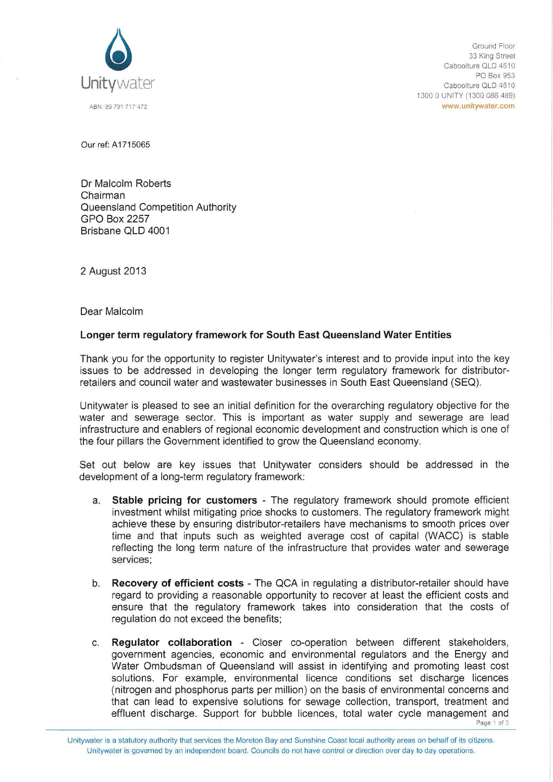

Ground Floor 33 King Street Caboolture QLD 4510 PO Box 953 Caboolture QLD 4510 1300 0 UNITY (1300 086 489) www.unitywater.com

Our ref: A 1715065

Dr Malcolm Roberts Chairman Queensland Competition Authority GPO Box 2257 Brisbane QLD 4001

2 August 2013

Dear Malcolm

## **Longer term regulatory framework for South East Queensland Water Entities**

Thank you for the opportunity to register Unitywater's interest and to provide input into the key issues to be addressed in developing the longer term regulatory framework for distributorretailers and council water and wastewater businesses in South East Queensland (SEQ).

Unitywater is pleased to see an initial definition for the overarching regulatory objective for the water and sewerage sector. This is important as water supply and sewerage are lead infrastructure and enablers of regional economic development and construction which is one of the four pillars the Government identified to grow the Queensland economy.

Set out below are key issues that Unitywater considers should be addressed in the development of a long-term regulatory framework:

- a. **Stable pricing for customers**  The regulatory framework should promote efficient investment whilst mitigating price shocks to customers. The regulatory framework might achieve these by ensuring distributor-retailers have mechanisms to smooth prices over time and that inputs such as weighted average cost of capital (WACC) is stable reflecting the long term nature of the infrastructure that provides water and sewerage services;
- b. **Recovery of efficient costs**  The QCA in regulating a distributor-retailer should have regard to providing a reasonable opportunity to recover at least the efficient costs and ensure that the regulatory framework takes into consideration that the costs of regulation do not exceed the benefits;
- c. **Regulator collaboration**  Closer co-operation between different stakeholders, government agencies, economic and environmental regulators and the Energy and Water Ombudsman of Queensland will assist in identifying and promoting least cost solutions. For example, environmental licence conditions set discharge licences (nitrogen and phosphorus parts per million) on the basis of environmental concerns and that can lead to expensive solutions for sewage collection, transport, treatment and effluent discharge. Support for bubble licences, total water cycle management and

Page I of 3

Unitywater is a statutory authority that services the Moreton Bay and Sunshine Coast local authority areas on behalf of its citizens. Unitywater is governed by an independent board. Councils do not have control or direction over day to day operations.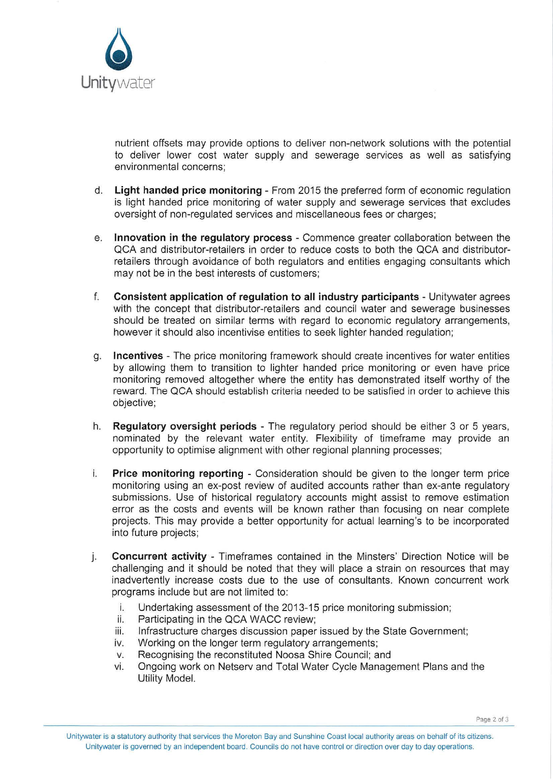

nutrient offsets may provide options to deliver non-network solutions with the potential to deliver lower cost water supply and sewerage services as well as satisfying environmental concerns;

- d. **Light handed price monitoring**  From 2015 the preferred form of economic regulation is light handed price monitoring of water supply and sewerage services that excludes oversight of non-regulated services and miscellaneous fees or charges;
- e. **Innovation in the regulatory process-** Commence greater collaboration between the QCA and distributor-retailers in order to reduce costs to both the QCA and distributorretailers through avoidance of both regulators and entities engaging consultants which may not be in the best interests of customers;
- f. **Consistent application of regulation to all industry participants**  Unitywater agrees with the concept that distributor-retailers and council water and sewerage businesses should be treated on similar terms with regard to economic regulatory arrangements, however it should also incentivise entities to seek lighter handed regulation;
- g. **Incentives**  The price monitoring framework should create incentives for water entities by allowing them to transition to lighter handed price monitoring or even have price monitoring removed altogether where the entity has demonstrated itself worthy of the reward. The QCA should establish criteria needed to be satisfied in order to achieve this objective;
- h. **Regulatory oversight periods**  The regulatory period should be either 3 or 5 years, nominated by the relevant water entity. Flexibility of timeframe may provide an opportunity to optimise alignment with other regional planning processes;
- i. **Price monitoring reporting**  Consideration should be given to the longer term price monitoring using an ex-post review of audited accounts rather than ex-ante regulatory submissions. Use of historical regulatory accounts might assist to remove estimation error as the costs and events will be known rather than focusing on near complete projects. This may provide a better opportunity for actual learning's to be incorporated into future projects;
- j. **Concurrent activity**  Timeframes contained in the Minsters' Direction Notice will be challenging and it should be noted that they will place a strain on resources that may inadvertently increase costs due to the use of consultants. Known concurrent work programs include but are not limited to:
	- i. Undertaking assessment of the 2013-15 price monitoring submission;
	- ii. Participating in the QCA WACC review;
	- iii. Infrastructure charges discussion paper issued by the State Government;
	- iv. Working on the longer term regulatory arrangements;
	- v. Recognising the reconstituted Noosa Shire Council; and
	- vi. Ongoing work on Netserv and Total Water Cycle Management Plans and the Utility Model.